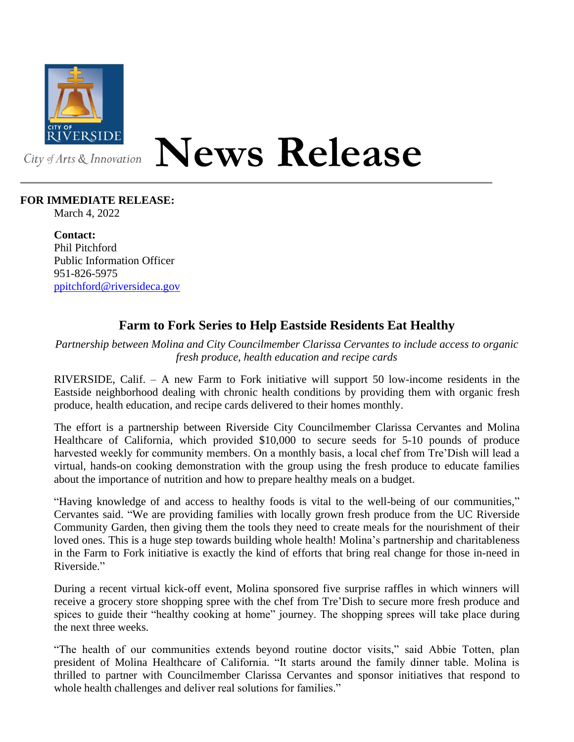

## **News Release**

## **FOR IMMEDIATE RELEASE:**

March 4, 2022

**Contact:** Phil Pitchford Public Information Officer 951-826-5975 [ppitchford@riversideca.gov](mailto:ppitchford@riversideca.gov)

## **Farm to Fork Series to Help Eastside Residents Eat Healthy**

*Partnership between Molina and City Councilmember Clarissa Cervantes to include access to organic fresh produce, health education and recipe cards*

RIVERSIDE, Calif. – A new Farm to Fork initiative will support 50 low-income residents in the Eastside neighborhood dealing with chronic health conditions by providing them with organic fresh produce, health education, and recipe cards delivered to their homes monthly.

The effort is a partnership between Riverside City Councilmember Clarissa Cervantes and Molina Healthcare of California, which provided \$10,000 to secure seeds for 5-10 pounds of produce harvested weekly for community members. On a monthly basis, a local chef from Tre'Dish will lead a virtual, hands-on cooking demonstration with the group using the fresh produce to educate families about the importance of nutrition and how to prepare healthy meals on a budget.

"Having knowledge of and access to healthy foods is vital to the well-being of our communities," Cervantes said. "We are providing families with locally grown fresh produce from the UC Riverside Community Garden, then giving them the tools they need to create meals for the nourishment of their loved ones. This is a huge step towards building whole health! Molina's partnership and charitableness in the Farm to Fork initiative is exactly the kind of efforts that bring real change for those in-need in Riverside."

During a recent virtual kick-off event, Molina sponsored five surprise raffles in which winners will receive a grocery store shopping spree with the chef from Tre'Dish to secure more fresh produce and spices to guide their "healthy cooking at home" journey. The shopping sprees will take place during the next three weeks.

"The health of our communities extends beyond routine doctor visits," said Abbie Totten, plan president of Molina Healthcare of California. "It starts around the family dinner table. Molina is thrilled to partner with Councilmember Clarissa Cervantes and sponsor initiatives that respond to whole health challenges and deliver real solutions for families."